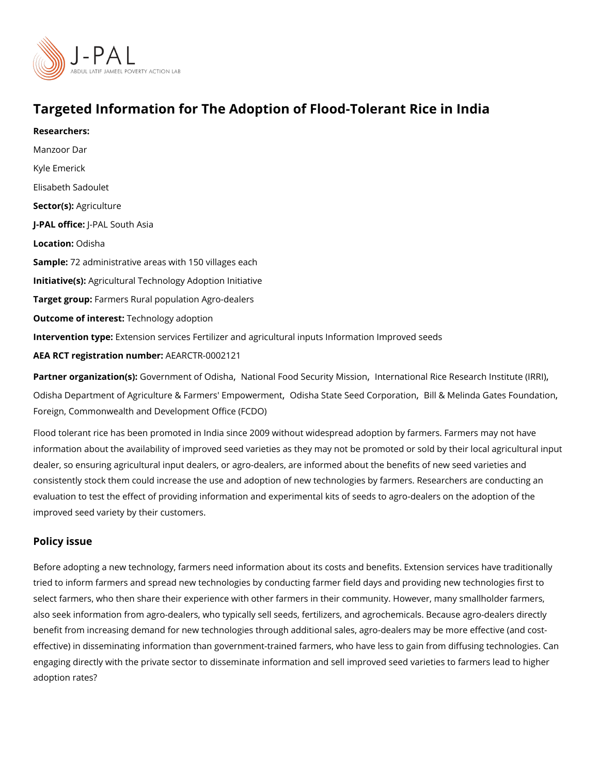# Targeted Information for The Adoption of Flood-Tolerant Ric

Researchers: Manzoor Dar [Kyle Em](https://www.povertyactionlab.org/person/emerick)erick [Elisabeth Sa](https://www.povertyactionlab.org/person/sadoulet)doulet Sector([Agricul](https://www.povertyactionlab.org/sector/agriculture)ture J-PAL of Ui-cPeAL South Asia Locatio **O**: disha Sample: 2 administrative areas with 150 villages each Initiative (s): icultural Technology Adoption Initiative Target grolatmers Rural population Agro-dealers Outcome of intelestinology adoption Intervention t& peension services Fertilizer and agricultural inputs Information Improved se AEA RCT registration ArEuAnRbGeTR-0002121

Partner organizatGoon/(esr)nment of Ondiasthœnal Food SecuritlyntMeirsnsaitcional Rice Research[,](https://www.povertyactionlab.org/partners/international-rice-research-institute-irri) Institute ([International Rice Research](https://www.povertyactionlab.org/partners/international-rice-research-institute-irri), Institute (International Rice Research, Institute (International Rice Research, Insti [Odisha Department of Agriculture & Far](https://www.povertyactionlab.org/partners/odisha-department-agriculture-farmers-empowerment)m़ @ rds's hEam pSotavteermGeent C[,](https://www.povertyactionlab.org/partners/bill-melinda-gates-foundation) o Biplol r&at Moenlinda Gates Founda [Foreign, Commonwealth and Developm](https://www.povertyactionlab.org/partners/foreign-commonwealth-and-development-office-fcdo)ent Office (FCDO)

Flood tolerant rice has been promoted in India since 2009 without widespread adoption by information about the availability of improved seed varieties as they may not be promoted dealer, so ensuring agricultural input dealers, or agro-dealers, are informed about the be consistently stock them could increase the use and adoption of new technologies by farme evaluation to test the effect of providing information and experimental kits of seeds to ag improved seed variety by their customers.

#### Policy issue

Before adopting a new technology, farmers need information about its costs and benefits. tried to inform farmers and spread new technologies by conducting farmer field days and select farmers, who then share their experience with other farmers in their community. Ho also seek information from agro-dealers, who typically sell seeds, fertilizers, and agroche benefit from increasing demand for new technologies through additional sales, agro-deale effective) in disseminating information than government-trained farmers, who have less to engaging directly with the private sector to disseminate information and sell improved see adoption rates?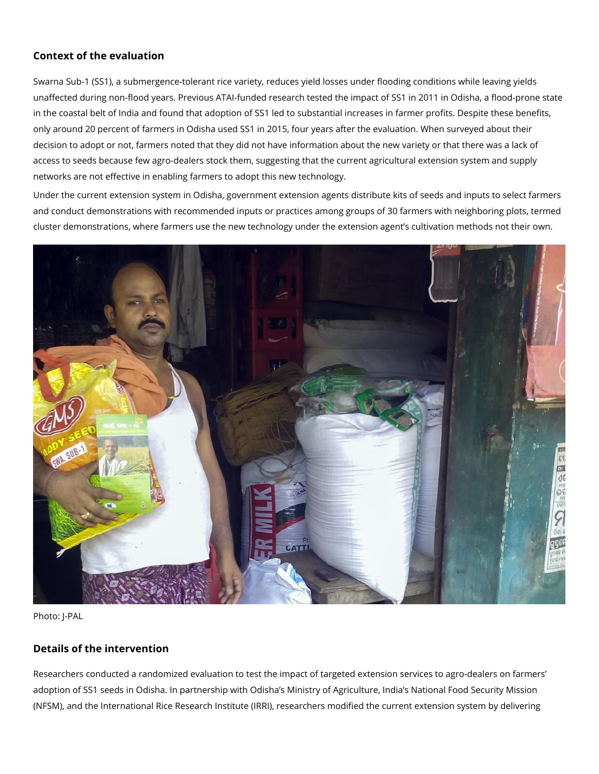# **Context of the evaluation**

Swarna Sub-1 (SS1), a submergence-tolerant rice variety, reduces yield losses under flooding conditions while leaving yields unaffected during non-flood years. Previous ATAI-funded research tested the impact of SS1 in 2011 in Odisha, a flood-prone state in the coastal belt of India and found that adoption of SS1 led to substantial increases in farmer profits. Despite these benefits, only around 20 percent of farmers in Odisha used SS1 in 2015, four years after the evaluation. When surveyed about their decision to adopt or not, farmers noted that they did not have information about the new variety or that there was a lack of access to seeds because few agro-dealers stock them, suggesting that the current agricultural extension system and supply networks are not effective in enabling farmers to adopt this new technology.

Under the current extension system in Odisha, government extension agents distribute kits of seeds and inputs to select farmers and conduct demonstrations with recommended inputs or practices among groups of 30 farmers with neighboring plots, termed cluster demonstrations, where farmers use the new technology under the extension agent's cultivation methods not their own.



Photo: J-PAL

# **Details of the intervention**

Researchers conducted a randomized evaluation to test the impact of targeted extension services to agro-dealers on farmers' adoption of SS1 seeds in Odisha. In partnership with Odisha's Ministry of Agriculture, India's National Food Security Mission (NFSM), and the International Rice Research Institute (IRRI), researchers modified the current extension system by delivering